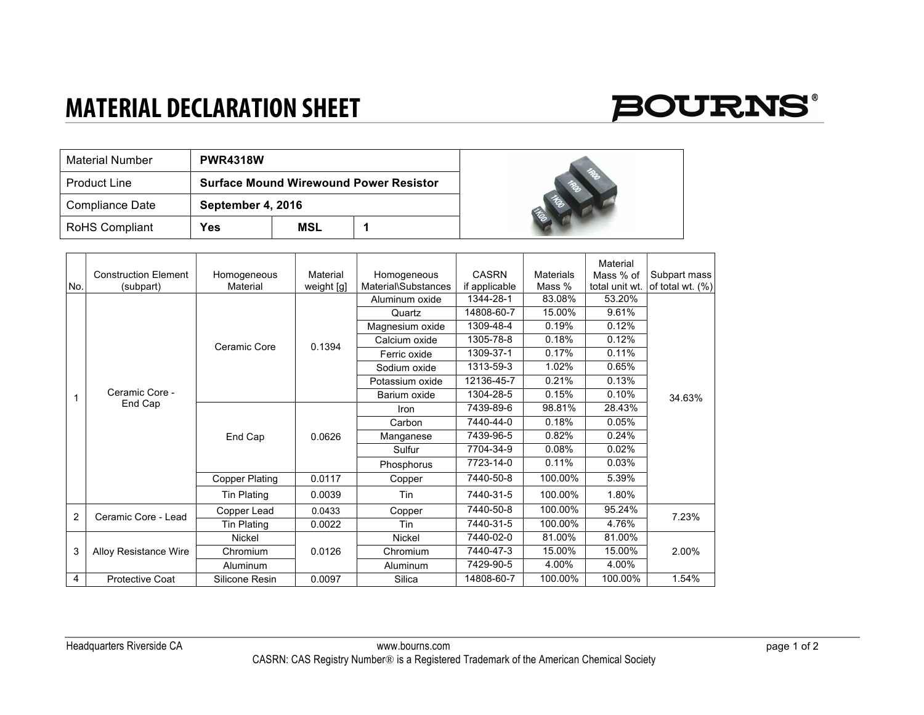## **MATERIAL DECLARATION SHEET**

## **BOURNS®**

| <b>Material Number</b> | <b>PWR4318W</b>                               |     |  |  |
|------------------------|-----------------------------------------------|-----|--|--|
| <b>Product Line</b>    | <b>Surface Mound Wirewound Power Resistor</b> |     |  |  |
| Compliance Date        | September 4, 2016                             |     |  |  |
| <b>RoHS Compliant</b>  | Yes                                           | MSL |  |  |



| No.            | <b>Construction Element</b><br>(subpart) | Homogeneous<br>Material | Material<br>weight [g] | Homogeneous<br>Material\Substances | <b>CASRN</b><br>if applicable | <b>Materials</b><br>Mass % | Material<br>Mass % of<br>total unit wt. | Subpart mass<br>of total wt. (%) |
|----------------|------------------------------------------|-------------------------|------------------------|------------------------------------|-------------------------------|----------------------------|-----------------------------------------|----------------------------------|
| 1              | Ceramic Core -<br>End Cap                | Ceramic Core            | 0.1394                 | Aluminum oxide                     | 1344-28-1                     | 83.08%                     | 53.20%                                  |                                  |
|                |                                          |                         |                        | Quartz                             | 14808-60-7                    | 15.00%                     | 9.61%                                   | 34.63%                           |
|                |                                          |                         |                        | Magnesium oxide                    | 1309-48-4                     | 0.19%                      | 0.12%                                   |                                  |
|                |                                          |                         |                        | Calcium oxide                      | 1305-78-8                     | 0.18%                      | 0.12%                                   |                                  |
|                |                                          |                         |                        | Ferric oxide                       | 1309-37-1                     | 0.17%                      | 0.11%                                   |                                  |
|                |                                          |                         |                        | Sodium oxide                       | 1313-59-3                     | 1.02%                      | 0.65%                                   |                                  |
|                |                                          |                         |                        | Potassium oxide                    | 12136-45-7                    | 0.21%                      | 0.13%                                   |                                  |
|                |                                          |                         |                        | Barium oxide                       | 1304-28-5                     | 0.15%                      | 0.10%                                   |                                  |
|                |                                          | End Cap                 |                        | Iron                               | 7439-89-6                     | 98.81%                     | 28.43%                                  |                                  |
|                |                                          |                         | 0.0626                 | Carbon                             | 7440-44-0                     | 0.18%                      | 0.05%                                   |                                  |
|                |                                          |                         |                        | Manganese                          | 7439-96-5                     | 0.82%                      | 0.24%                                   |                                  |
|                |                                          |                         |                        | Sulfur                             | 7704-34-9                     | 0.08%                      | 0.02%                                   |                                  |
|                |                                          |                         |                        | Phosphorus                         | 7723-14-0                     | 0.11%                      | 0.03%                                   |                                  |
|                |                                          | <b>Copper Plating</b>   | 0.0117                 | Copper                             | 7440-50-8                     | 100.00%                    | 5.39%                                   |                                  |
|                |                                          | Tin Plating             | 0.0039                 | Tin                                | 7440-31-5                     | 100.00%                    | 1.80%                                   |                                  |
| $\overline{2}$ | Ceramic Core - Lead                      | Copper Lead             | 0.0433                 | Copper                             | 7440-50-8                     | 100.00%                    | 95.24%                                  | 7.23%                            |
|                |                                          | <b>Tin Plating</b>      | 0.0022                 | Tin                                | 7440-31-5                     | 100.00%                    | 4.76%                                   |                                  |
| 3              | <b>Alloy Resistance Wire</b>             | Nickel                  | 0.0126                 | Nickel                             | 7440-02-0                     | 81.00%                     | 81.00%                                  | 2.00%                            |
|                |                                          | Chromium                |                        | Chromium                           | 7440-47-3                     | 15.00%                     | 15.00%                                  |                                  |
|                |                                          | Aluminum                |                        | Aluminum                           | 7429-90-5                     | 4.00%                      | 4.00%                                   |                                  |
| 4              | Protective Coat                          | Silicone Resin          | 0.0097                 | Silica                             | 14808-60-7                    | 100.00%                    | 100.00%                                 | 1.54%                            |